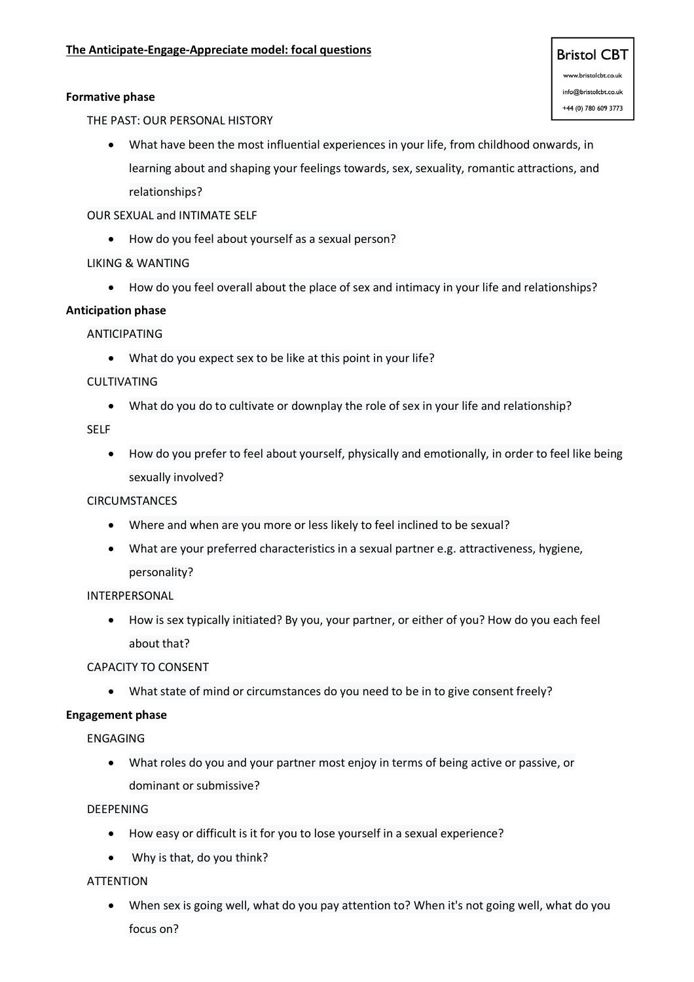# **Formative phase**

THE PAST: OUR PERSONAL HISTORY

- What have been the most influential experiences in your life, from childhood onwards, in learning about and shaping your feelings towards, sex, sexuality, romantic attractions, and relationships?
- OUR SEXUAL and INTIMATE SELF
	- How do you feel about yourself as a sexual person?
- LIKING & WANTING
	- How do you feel overall about the place of sex and intimacy in your life and relationships?

# **Anticipation phase**

ANTICIPATING

• What do you expect sex to be like at this point in your life?

# CULTIVATING

• What do you do to cultivate or downplay the role of sex in your life and relationship?

SELF

• How do you prefer to feel about yourself, physically and emotionally, in order to feel like being sexually involved?

# **CIRCUMSTANCES**

- Where and when are you more or less likely to feel inclined to be sexual?
- What are your preferred characteristics in a sexual partner e.g. attractiveness, hygiene, personality?

INTERPERSONAL

• How is sex typically initiated? By you, your partner, or either of you? How do you each feel about that?

# CAPACITY TO CONSENT

• What state of mind or circumstances do you need to be in to give consent freely?

# **Engagement phase**

ENGAGING

• What roles do you and your partner most enjoy in terms of being active or passive, or dominant or submissive?

# DEEPENING

- How easy or difficult is it for you to lose yourself in a sexual experience?
- Why is that, do you think?

# ATTENTION

• When sex is going well, what do you pay attention to? When it's not going well, what do you focus on?